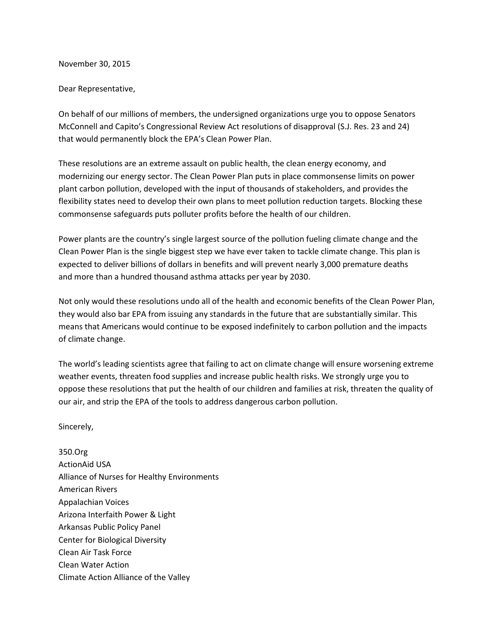November 30, 2015

## Dear Representative,

On behalf of our millions of members, the undersigned organizations urge you to oppose Senators McConnell and Capito's Congressional Review Act resolutions of disapproval (S.J. Res. 23 and 24) that would permanently block the EPA's Clean Power Plan.

These resolutions are an extreme assault on public health, the clean energy economy, and modernizing our energy sector. The Clean Power Plan puts in place commonsense limits on power plant carbon pollution, developed with the input of thousands of stakeholders, and provides the flexibility states need to develop their own plans to meet pollution reduction targets. Blocking these commonsense safeguards puts polluter profits before the health of our children.

Power plants are the country's single largest source of the pollution fueling climate change and the Clean Power Plan is the single biggest step we have ever taken to tackle climate change. This plan is expected to deliver billions of dollars in benefits and will prevent nearly 3,000 premature deaths and more than a hundred thousand asthma attacks per year by 2030.

Not only would these resolutions undo all of the health and economic benefits of the Clean Power Plan, they would also bar EPA from issuing any standards in the future that are substantially similar. This means that Americans would continue to be exposed indefinitely to carbon pollution and the impacts of climate change.

The world's leading scientists agree that failing to act on climate change will ensure worsening extreme weather events, threaten food supplies and increase public health risks. We strongly urge you to oppose these resolutions that put the health of our children and families at risk, threaten the quality of our air, and strip the EPA of the tools to address dangerous carbon pollution.

Sincerely,

350.Org ActionAid USA Alliance of Nurses for Healthy Environments American Rivers Appalachian Voices Arizona Interfaith Power & Light Arkansas Public Policy Panel Center for Biological Diversity Clean Air Task Force Clean Water Action Climate Action Alliance of the Valley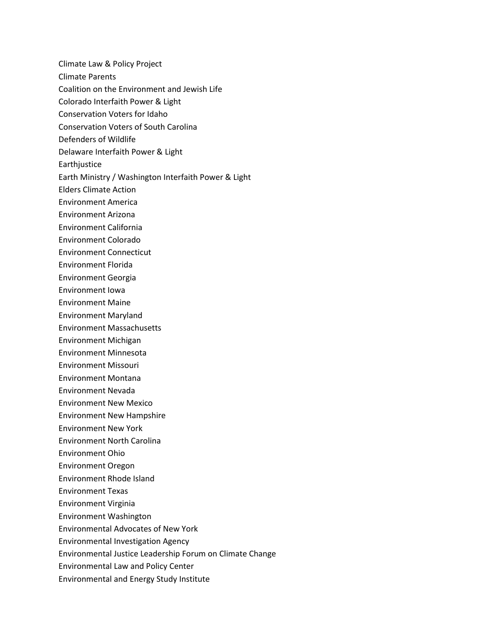Climate Law & Policy Project

- Climate Parents
- Coalition on the Environment and Jewish Life
- Colorado Interfaith Power & Light
- Conservation Voters for Idaho
- Conservation Voters of South Carolina
- Defenders of Wildlife
- Delaware Interfaith Power & Light
- Earthjustice
- Earth Ministry / Washington Interfaith Power & Light
- Elders Climate Action
- Environment America
- Environment Arizona
- Environment California
- Environment Colorado
- Environment Connecticut
- Environment Florida
- Environment Georgia
- Environment Iowa
- Environment Maine
- Environment Maryland
- Environment Massachusetts
- Environment Michigan
- Environment Minnesota
- Environment Missouri
- Environment Montana
- Environment Nevada
- Environment New Mexico
- Environment New Hampshire
- Environment New York
- Environment North Carolina
- Environment Ohio
- Environment Oregon
- Environment Rhode Island
- Environment Texas
- Environment Virginia
- Environment Washington
- Environmental Advocates of New York
- Environmental Investigation Agency
- Environmental Justice Leadership Forum on Climate Change
- Environmental Law and Policy Center
- Environmental and Energy Study Institute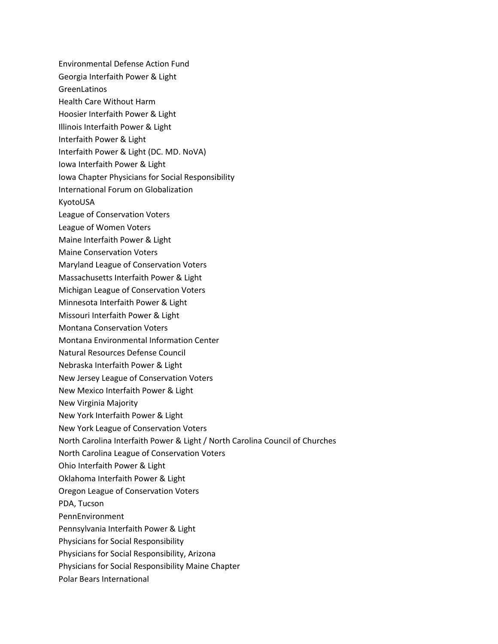Environmental Defense Action Fund

- Georgia Interfaith Power & Light
- GreenLatinos
- Health Care Without Harm
- Hoosier Interfaith Power & Light
- Illinois Interfaith Power & Light
- Interfaith Power & Light
- Interfaith Power & Light (DC. MD. NoVA)
- Iowa Interfaith Power & Light
- Iowa Chapter Physicians for Social Responsibility
- International Forum on Globalization
- KyotoUSA
- League of Conservation Voters
- League of Women Voters
- Maine Interfaith Power & Light
- Maine Conservation Voters
- Maryland League of Conservation Voters
- Massachusetts Interfaith Power & Light
- Michigan League of Conservation Voters
- Minnesota Interfaith Power & Light
- Missouri Interfaith Power & Light
- Montana Conservation Voters
- Montana Environmental Information Center
- Natural Resources Defense Council
- Nebraska Interfaith Power & Light
- New Jersey League of Conservation Voters
- New Mexico Interfaith Power & Light
- New Virginia Majority
- New York Interfaith Power & Light
- New York League of Conservation Voters
- North Carolina Interfaith Power & Light / North Carolina Council of Churches
- North Carolina League of Conservation Voters
- Ohio Interfaith Power & Light
- Oklahoma Interfaith Power & Light
- Oregon League of Conservation Voters
- PDA, Tucson
- PennEnvironment
- Pennsylvania Interfaith Power & Light
- Physicians for Social Responsibility
- Physicians for Social Responsibility, Arizona
- Physicians for Social Responsibility Maine Chapter
- Polar Bears International